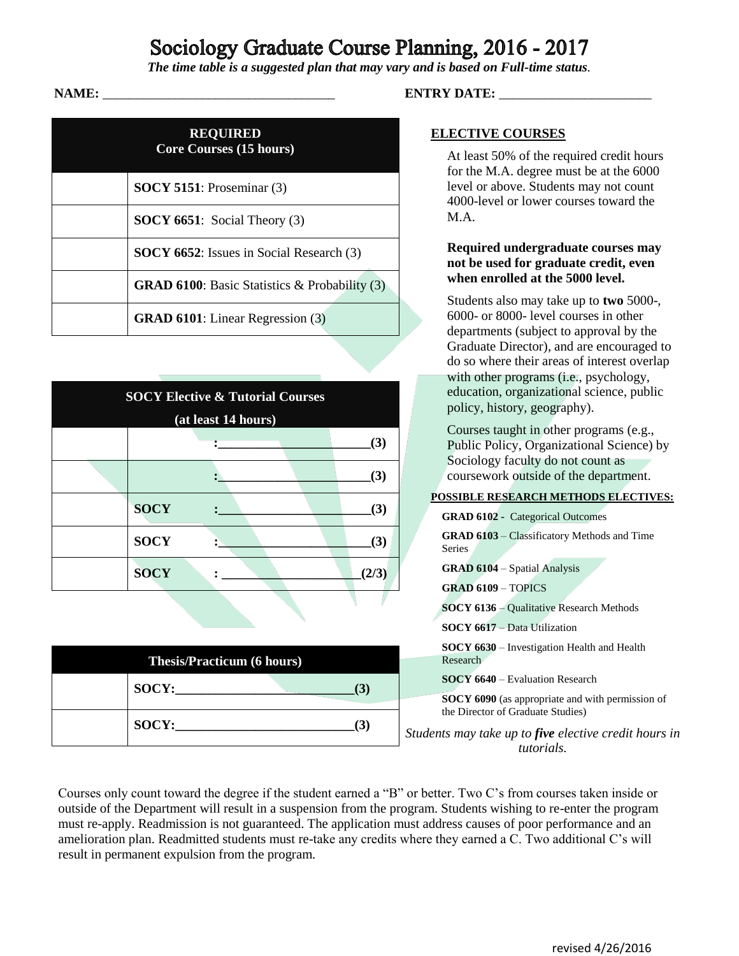# Sociology Graduate Course Planning, 2016 - 2017

*The time table is a suggested plan that may vary and is based on Full-time status.*

| <b>REQUIRED</b><br><b>Core Courses (15 hours)</b> |                                                         |  |
|---------------------------------------------------|---------------------------------------------------------|--|
|                                                   | <b>SOCY 5151</b> : Proseminar $(3)$                     |  |
|                                                   | <b>SOCY 6651</b> : Social Theory $(3)$                  |  |
|                                                   | <b>SOCY 6652</b> : Issues in Social Research (3)        |  |
|                                                   | <b>GRAD 6100</b> : Basic Statistics & Probability $(3)$ |  |
|                                                   | <b>GRAD 6101</b> : Linear Regression (3)                |  |

| <b>SOCY Elective &amp; Tutorial Courses</b><br>(at least 14 hours) |             |  |  |       |
|--------------------------------------------------------------------|-------------|--|--|-------|
|                                                                    |             |  |  | (3)   |
|                                                                    |             |  |  | (3)   |
|                                                                    | <b>SOCY</b> |  |  | (3)   |
|                                                                    | <b>SOCY</b> |  |  | (3)   |
|                                                                    | <b>SOCY</b> |  |  | (2/3) |

| <b>Thesis/Practicum (6 hours)</b> |       |  |  |  |
|-----------------------------------|-------|--|--|--|
|                                   | SOCY: |  |  |  |
|                                   | SOCY: |  |  |  |

## **NAME:** \_\_\_\_\_\_\_\_\_\_\_\_\_\_\_\_\_\_\_\_\_\_\_\_\_\_\_\_\_\_\_\_\_\_\_ **ENTRY DATE:** \_\_\_\_\_\_\_\_\_\_\_\_\_\_\_\_\_\_\_\_\_\_\_

### **ELECTIVE COURSES**

At least 50% of the required credit hours for the M.A. degree must be at the 6000 level or above. Students may not count 4000-level or lower courses toward the M.A.

### **Required undergraduate courses may not be used for graduate credit, even when enrolled at the 5000 level.**

Students also may take up to **two** 5000-, 6000- or 8000- level courses in other departments (subject to approval by the Graduate Director), and are encouraged to do so where their areas of interest overlap with other programs (i.e., psychology, education, organizational science, public policy, history, geography).

Courses taught in other programs (e.g., Public Policy, Organizational Science) by Sociology faculty do not count as coursework outside of the department.

#### **POSSIBLE RESEARCH METHODS ELECTIVES:**

| <b>GRAD 6102 - Categorical Outcomes</b>                                                      |
|----------------------------------------------------------------------------------------------|
| <b>GRAD 6103</b> – Classificatory Methods and Time<br><b>Series</b>                          |
| <b>GRAD 6104 – Spatial Analysis</b>                                                          |
| <b>GRAD 6109 - TOPICS</b>                                                                    |
| <b>SOCY 6136 – Qualitative Research Methods</b>                                              |
| <b>SOCY 6617 – Data Utilization</b>                                                          |
| <b>SOCY 6630</b> – Investigation Health and Health<br>Research                               |
| <b>SOCY 6640</b> – Evaluation Research                                                       |
| <b>SOCY 6090</b> (as appropriate and with permission of<br>the Director of Graduate Studies) |

*Students may take up to five elective credit hours in tutorials.*

Courses only count toward the degree if the student earned a "B" or better. Two C's from courses taken inside or outside of the Department will result in a suspension from the program. Students wishing to re-enter the program must re-apply. Readmission is not guaranteed. The application must address causes of poor performance and an amelioration plan. Readmitted students must re-take any credits where they earned a C. Two additional C's will result in permanent expulsion from the program.